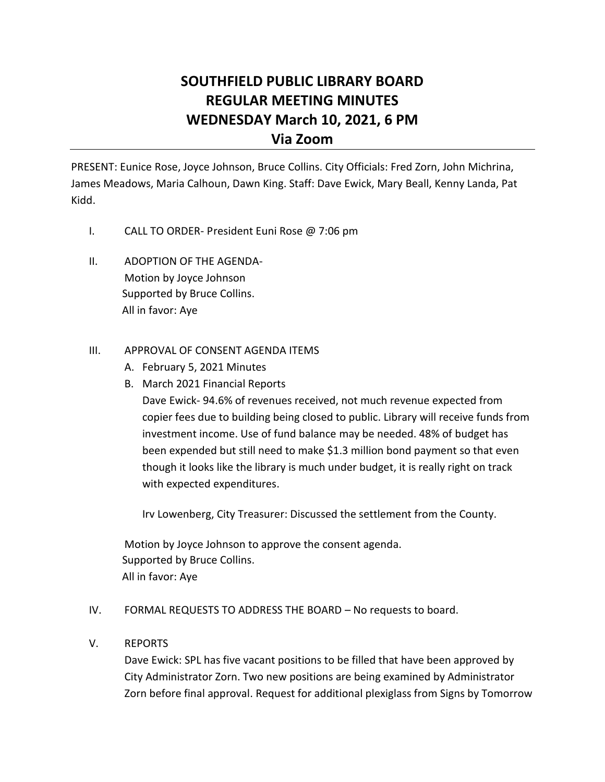# **SOUTHFIELD PUBLIC LIBRARY BOARD REGULAR MEETING MINUTES WEDNESDAY March 10, 2021, 6 PM Via Zoom**

PRESENT: Eunice Rose, Joyce Johnson, Bruce Collins. City Officials: Fred Zorn, John Michrina, James Meadows, Maria Calhoun, Dawn King. Staff: Dave Ewick, Mary Beall, Kenny Landa, Pat Kidd.

- I. CALL TO ORDER- President Euni Rose @ 7:06 pm
- II. ADOPTION OF THE AGENDA-Motion by Joyce Johnson Supported by Bruce Collins. All in favor: Aye

## III. APPROVAL OF CONSENT AGENDA ITEMS

- A. February 5, 2021 Minutes
- B. March 2021 Financial Reports

Dave Ewick- 94.6% of revenues received, not much revenue expected from copier fees due to building being closed to public. Library will receive funds from investment income. Use of fund balance may be needed. 48% of budget has been expended but still need to make \$1.3 million bond payment so that even though it looks like the library is much under budget, it is really right on track with expected expenditures.

Irv Lowenberg, City Treasurer: Discussed the settlement from the County.

Motion by Joyce Johnson to approve the consent agenda. Supported by Bruce Collins. All in favor: Aye

### IV. FORMAL REQUESTS TO ADDRESS THE BOARD – No requests to board.

### V. REPORTS

Dave Ewick: SPL has five vacant positions to be filled that have been approved by City Administrator Zorn. Two new positions are being examined by Administrator Zorn before final approval. Request for additional plexiglass from Signs by Tomorrow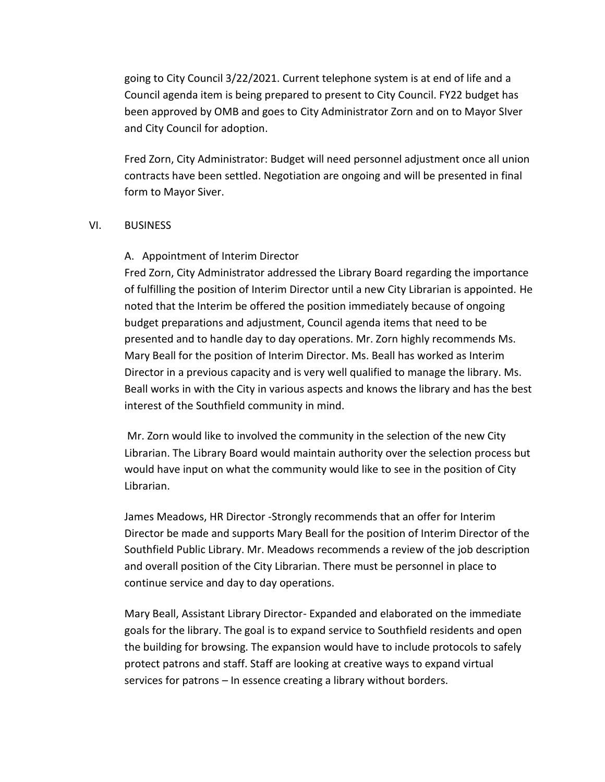going to City Council 3/22/2021. Current telephone system is at end of life and a Council agenda item is being prepared to present to City Council. FY22 budget has been approved by OMB and goes to City Administrator Zorn and on to Mayor SIver and City Council for adoption.

Fred Zorn, City Administrator: Budget will need personnel adjustment once all union contracts have been settled. Negotiation are ongoing and will be presented in final form to Mayor Siver.

### VI. BUSINESS

### A. Appointment of Interim Director

Fred Zorn, City Administrator addressed the Library Board regarding the importance of fulfilling the position of Interim Director until a new City Librarian is appointed. He noted that the Interim be offered the position immediately because of ongoing budget preparations and adjustment, Council agenda items that need to be presented and to handle day to day operations. Mr. Zorn highly recommends Ms. Mary Beall for the position of Interim Director. Ms. Beall has worked as Interim Director in a previous capacity and is very well qualified to manage the library. Ms. Beall works in with the City in various aspects and knows the library and has the best interest of the Southfield community in mind.

Mr. Zorn would like to involved the community in the selection of the new City Librarian. The Library Board would maintain authority over the selection process but would have input on what the community would like to see in the position of City Librarian.

James Meadows, HR Director -Strongly recommends that an offer for Interim Director be made and supports Mary Beall for the position of Interim Director of the Southfield Public Library. Mr. Meadows recommends a review of the job description and overall position of the City Librarian. There must be personnel in place to continue service and day to day operations.

Mary Beall, Assistant Library Director- Expanded and elaborated on the immediate goals for the library. The goal is to expand service to Southfield residents and open the building for browsing. The expansion would have to include protocols to safely protect patrons and staff. Staff are looking at creative ways to expand virtual services for patrons – In essence creating a library without borders.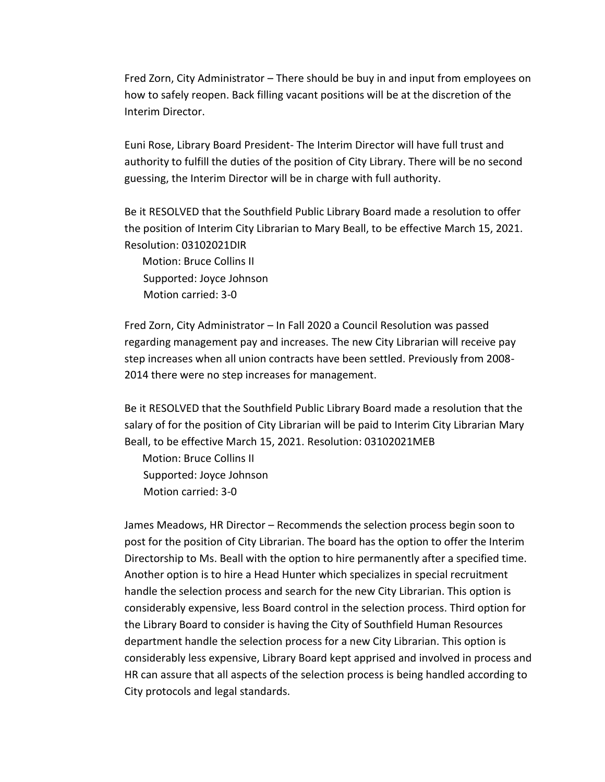Fred Zorn, City Administrator – There should be buy in and input from employees on how to safely reopen. Back filling vacant positions will be at the discretion of the Interim Director.

Euni Rose, Library Board President- The Interim Director will have full trust and authority to fulfill the duties of the position of City Library. There will be no second guessing, the Interim Director will be in charge with full authority.

Be it RESOLVED that the Southfield Public Library Board made a resolution to offer the position of Interim City Librarian to Mary Beall, to be effective March 15, 2021. Resolution: 03102021DIR

Motion: Bruce Collins II Supported: Joyce Johnson Motion carried: 3-0

Fred Zorn, City Administrator – In Fall 2020 a Council Resolution was passed regarding management pay and increases. The new City Librarian will receive pay step increases when all union contracts have been settled. Previously from 2008- 2014 there were no step increases for management.

Be it RESOLVED that the Southfield Public Library Board made a resolution that the salary of for the position of City Librarian will be paid to Interim City Librarian Mary Beall, to be effective March 15, 2021. Resolution: 03102021MEB

Motion: Bruce Collins II Supported: Joyce Johnson Motion carried: 3-0

James Meadows, HR Director – Recommends the selection process begin soon to post for the position of City Librarian. The board has the option to offer the Interim Directorship to Ms. Beall with the option to hire permanently after a specified time. Another option is to hire a Head Hunter which specializes in special recruitment handle the selection process and search for the new City Librarian. This option is considerably expensive, less Board control in the selection process. Third option for the Library Board to consider is having the City of Southfield Human Resources department handle the selection process for a new City Librarian. This option is considerably less expensive, Library Board kept apprised and involved in process and HR can assure that all aspects of the selection process is being handled according to City protocols and legal standards.